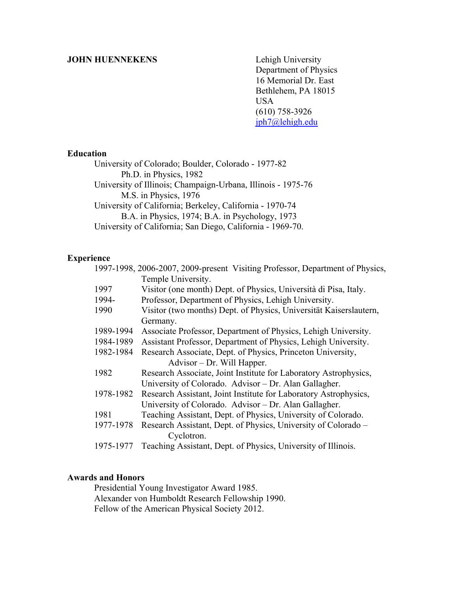### **JOHN HUENNEKENS** Lehigh University

 Department of Physics 16 Memorial Dr. East Bethlehem, PA 18015 USA (610) 758-3926 jph7@lehigh.edu

# **Education**

 University of Colorado; Boulder, Colorado - 1977-82 Ph.D. in Physics, 1982 University of Illinois; Champaign-Urbana, Illinois - 1975-76 M.S. in Physics, 1976 University of California; Berkeley, California - 1970-74 B.A. in Physics, 1974; B.A. in Psychology, 1973 University of California; San Diego, California - 1969-70.

#### **Experience**

|                            |           | 1997-1998, 2006-2007, 2009-present Visiting Professor, Department of Physics, |
|----------------------------|-----------|-------------------------------------------------------------------------------|
|                            |           | Temple University.                                                            |
|                            | 1997      | Visitor (one month) Dept. of Physics, Università di Pisa, Italy.              |
|                            | 1994-     | Professor, Department of Physics, Lehigh University.                          |
|                            | 1990      | Visitor (two months) Dept. of Physics, Universität Kaiserslautern,            |
|                            |           | Germany.                                                                      |
|                            | 1989-1994 | Associate Professor, Department of Physics, Lehigh University.                |
|                            | 1984-1989 | Assistant Professor, Department of Physics, Lehigh University.                |
|                            | 1982-1984 | Research Associate, Dept. of Physics, Princeton University,                   |
| Advisor – Dr. Will Happer. |           |                                                                               |
|                            | 1982      | Research Associate, Joint Institute for Laboratory Astrophysics,              |
|                            |           | University of Colorado. Advisor – Dr. Alan Gallagher.                         |
|                            | 1978-1982 | Research Assistant, Joint Institute for Laboratory Astrophysics,              |
|                            |           | University of Colorado. Advisor – Dr. Alan Gallagher.                         |
|                            | 1981      | Teaching Assistant, Dept. of Physics, University of Colorado.                 |
|                            | 1977-1978 | Research Assistant, Dept. of Physics, University of Colorado –                |
|                            |           | Cyclotron.                                                                    |
|                            | 1975-1977 | Teaching Assistant, Dept. of Physics, University of Illinois.                 |

## **Awards and Honors**

Presidential Young Investigator Award 1985. Alexander von Humboldt Research Fellowship 1990. Fellow of the American Physical Society 2012.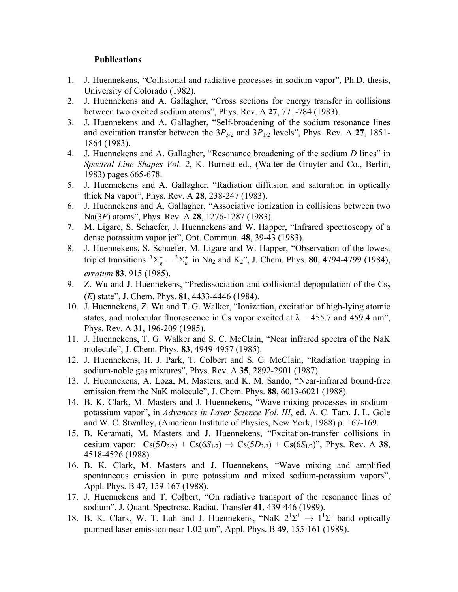### **Publications**

- 1. J. Huennekens, "Collisional and radiative processes in sodium vapor", Ph.D. thesis, University of Colorado (1982).
- 2. J. Huennekens and A. Gallagher, "Cross sections for energy transfer in collisions between two excited sodium atoms", Phys. Rev. A **27**, 771-784 (1983).
- 3. J. Huennekens and A. Gallagher, "Self-broadening of the sodium resonance lines and excitation transfer between the  $3P_{3/2}$  and  $3P_{1/2}$  levels", Phys. Rev. A 27, 1851-1864 (1983).
- 4. J. Huennekens and A. Gallagher, "Resonance broadening of the sodium *D* lines" in *Spectral Line Shapes Vol. 2*, K. Burnett ed., (Walter de Gruyter and Co., Berlin, 1983) pages 665-678.
- 5. J. Huennekens and A. Gallagher, "Radiation diffusion and saturation in optically thick Na vapor", Phys. Rev. A **28**, 238-247 (1983).
- 6. J. Huennekens and A. Gallagher, "Associative ionization in collisions between two Na(3*P*) atoms", Phys. Rev. A **28**, 1276-1287 (1983).
- 7. M. Ligare, S. Schaefer, J. Huennekens and W. Happer, "Infrared spectroscopy of a dense potassium vapor jet", Opt. Commun. **48**, 39-43 (1983).
- 8. J. Huennekens, S. Schaefer, M. Ligare and W. Happer, "Observation of the lowest triplet transitions  ${}^{3}\Sigma_{g}^{+} - {}^{3}\Sigma_{u}^{+}$  in Na<sub>2</sub> and K<sub>2</sub>", J. Chem. Phys. **80**, 4794-4799 (1984), *erratum* **83**, 915 (1985).
- 9. Z. Wu and J. Huennekens, "Predissociation and collisional depopulation of the  $Cs<sub>2</sub>$ (*E*) state", J. Chem. Phys. **81**, 4433-4446 (1984).
- 10. J. Huennekens, Z. Wu and T. G. Walker, "Ionization, excitation of high-lying atomic states, and molecular fluorescence in Cs vapor excited at  $\lambda = 455.7$  and 459.4 nm<sup>2</sup>, Phys. Rev. A **31**, 196-209 (1985).
- 11. J. Huennekens, T. G. Walker and S. C. McClain, "Near infrared spectra of the NaK molecule", J. Chem. Phys. **83**, 4949-4957 (1985).
- 12. J. Huennekens, H. J. Park, T. Colbert and S. C. McClain, "Radiation trapping in sodium-noble gas mixtures", Phys. Rev. A **35**, 2892-2901 (1987).
- 13. J. Huennekens, A. Loza, M. Masters, and K. M. Sando, "Near-infrared bound-free emission from the NaK molecule", J. Chem. Phys. **88**, 6013-6021 (1988).
- 14. B. K. Clark, M. Masters and J. Huennekens, "Wave-mixing processes in sodiumpotassium vapor", in *Advances in Laser Science Vol. III*, ed. A. C. Tam, J. L. Gole and W. C. Stwalley, (American Institute of Physics, New York, 1988) p. 167-169.
- 15. B. Keramati, M. Masters and J. Huennekens, "Excitation-transfer collisions in cesium vapor:  $Cs(5D_{5/2}) + Cs(6S_{1/2}) \rightarrow Cs(5D_{3/2}) + Cs(6S_{1/2})$ ", Phys. Rev. A 38, 4518-4526 (1988).
- 16. B. K. Clark, M. Masters and J. Huennekens, "Wave mixing and amplified spontaneous emission in pure potassium and mixed sodium-potassium vapors", Appl. Phys. B **47**, 159-167 (1988).
- 17. J. Huennekens and T. Colbert, "On radiative transport of the resonance lines of sodium", J. Quant. Spectrosc. Radiat. Transfer **41**, 439-446 (1989).
- 18. B. K. Clark, W. T. Luh and J. Huennekens, "NaK  $2^1\Sigma^+ \rightarrow 1^1\Sigma^+$  band optically pumped laser emission near 1.02 µm", Appl. Phys. B **49**, 155-161 (1989).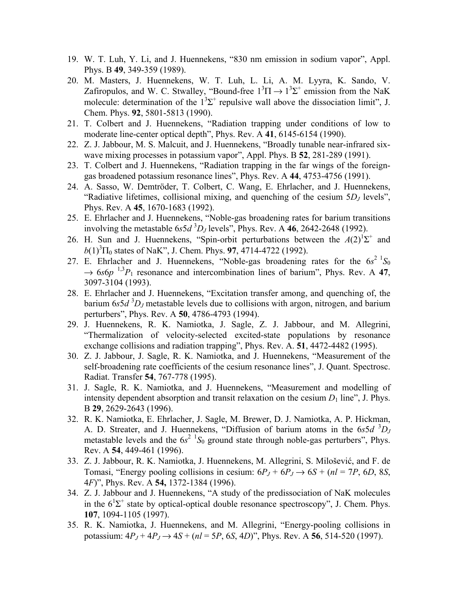- 19. W. T. Luh, Y. Li, and J. Huennekens, "830 nm emission in sodium vapor", Appl. Phys. B **49**, 349-359 (1989).
- 20. M. Masters, J. Huennekens, W. T. Luh, L. Li, A. M. Lyyra, K. Sando, V. Zafiropulos, and W. C. Stwalley, "Bound-free  $1^3\Pi \rightarrow 1^3\Sigma^+$  emission from the NaK molecule: determination of the  $1<sup>3</sup>\Sigma^{+}$  repulsive wall above the dissociation limit", J. Chem. Phys. **92**, 5801-5813 (1990).
- 21. T. Colbert and J. Huennekens, "Radiation trapping under conditions of low to moderate line-center optical depth", Phys. Rev. A **41**, 6145-6154 (1990).
- 22. Z. J. Jabbour, M. S. Malcuit, and J. Huennekens, "Broadly tunable near-infrared sixwave mixing processes in potassium vapor", Appl. Phys. B **52**, 281-289 (1991).
- 23. T. Colbert and J. Huennekens, "Radiation trapping in the far wings of the foreigngas broadened potassium resonance lines", Phys. Rev. A **44**, 4753-4756 (1991).
- 24. A. Sasso, W. Demtröder, T. Colbert, C. Wang, E. Ehrlacher, and J. Huennekens, "Radiative lifetimes, collisional mixing, and quenching of the cesium 5*DJ* levels", Phys. Rev. A **45**, 1670-1683 (1992).
- 25. E. Ehrlacher and J. Huennekens, "Noble-gas broadening rates for barium transitions involving the metastable  $6s5d$ <sup>3</sup> $D_J$  levels", Phys. Rev. A 46, 2642-2648 (1992).
- 26. H. Sun and J. Huennekens, "Spin-orbit perturbations between the  $A(2)^{1} \Sigma^{+}$  and  $b(1)^3\Pi_0$  states of NaK", J. Chem. Phys. **97**, 4714-4722 (1992).
- 27. E. Ehrlacher and J. Huennekens, "Noble-gas broadening rates for the  $6s^2$   ${}^{1}S_0$  $\rightarrow$  6*s*6*p* <sup>1,3</sup>*P*<sub>1</sub> resonance and intercombination lines of barium", Phys. Rev. A 47, 3097-3104 (1993).
- 28. E. Ehrlacher and J. Huennekens, "Excitation transfer among, and quenching of, the barium 6*s5d*<sup>3</sup>D<sub>J</sub> metastable levels due to collisions with argon, nitrogen, and barium perturbers", Phys. Rev. A **50**, 4786-4793 (1994).
- 29. J. Huennekens, R. K. Namiotka, J. Sagle, Z. J. Jabbour, and M. Allegrini, "Thermalization of velocity-selected excited-state populations by resonance exchange collisions and radiation trapping", Phys. Rev. A. **51**, 4472-4482 (1995).
- 30. Z. J. Jabbour, J. Sagle, R. K. Namiotka, and J. Huennekens, "Measurement of the self-broadening rate coefficients of the cesium resonance lines", J. Quant. Spectrosc. Radiat. Transfer **54**, 767-778 (1995).
- 31. J. Sagle, R. K. Namiotka, and J. Huennekens, "Measurement and modelling of intensity dependent absorption and transit relaxation on the cesium  $D_1$  line", J. Phys. B **29**, 2629-2643 (1996).
- 32. R. K. Namiotka, E. Ehrlacher, J. Sagle, M. Brewer, D. J. Namiotka, A. P. Hickman, A. D. Streater, and J. Huennekens, "Diffusion of barium atoms in the 6*s5d* <sup>3</sup>D<sub>J</sub> metastable levels and the  $6s^2$   ${}^{1}S_0$  ground state through noble-gas perturbers", Phys. Rev. A **54**, 449-461 (1996).
- 33. Z. J. Jabbour, R. K. Namiotka, J. Huennekens, M. Allegrini, S. Milošević, and F. de Tomasi, "Energy pooling collisions in cesium:  $6P_J + 6P_J \rightarrow 6S + (nl = 7P, 6D, 8S,$ 4*F*)", Phys. Rev. A **54,** 1372-1384 (1996).
- 34. Z. J. Jabbour and J. Huennekens, "A study of the predissociation of NaK molecules in the  $6^1\Sigma^+$  state by optical-optical double resonance spectroscopy", J. Chem. Phys. **107**, 1094-1105 (1997).
- 35. R. K. Namiotka, J. Huennekens, and M. Allegrini, "Energy-pooling collisions in potassium:  $4P_J + 4P_J \rightarrow 4S + (nl = 5P, 6S, 4D)$ ", Phys. Rev. A 56, 514-520 (1997).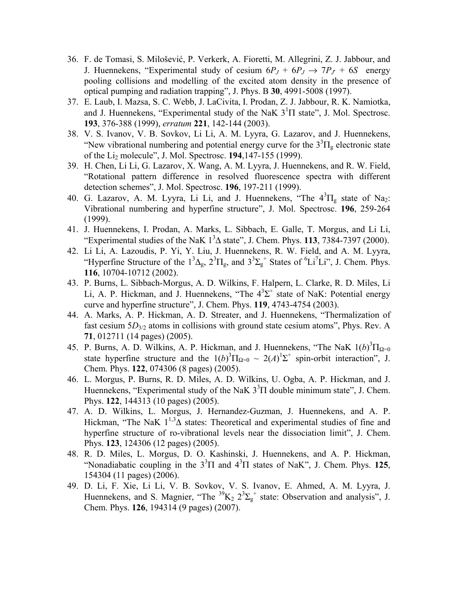- 36. F. de Tomasi, S. Milošević, P. Verkerk, A. Fioretti, M. Allegrini, Z. J. Jabbour, and J. Huennekens, "Experimental study of cesium  $6P_J + 6P_J \rightarrow 7P_{J'} + 6S$  energy pooling collisions and modelling of the excited atom density in the presence of optical pumping and radiation trapping", J. Phys. B **30**, 4991-5008 (1997).
- 37. E. Laub, I. Mazsa, S. C. Webb, J. LaCivita, I. Prodan, Z. J. Jabbour, R. K. Namiotka, and J. Huennekens, "Experimental study of the NaK  $3<sup>1</sup>\Pi$  state", J. Mol. Spectrosc. **193**, 376-388 (1999), *erratum* **221**, 142-144 (2003).
- 38. V. S. Ivanov, V. B. Sovkov, Li Li, A. M. Lyyra, G. Lazarov, and J. Huennekens, "New vibrational numbering and potential energy curve for the  $3^{3} \Pi_{g}$  electronic state of the Li2 molecule", J. Mol. Spectrosc. **194**,147-155 (1999).
- 39. H. Chen, Li Li, G. Lazarov, X. Wang, A. M. Lyyra, J. Huennekens, and R. W. Field, "Rotational pattern difference in resolved fluorescence spectra with different detection schemes", J. Mol. Spectrosc. **196**, 197-211 (1999).
- 40. G. Lazarov, A. M. Lyyra, Li Li, and J. Huennekens, "The  $4^{3}\Pi_{g}$  state of Na<sub>2</sub>: Vibrational numbering and hyperfine structure", J. Mol. Spectrosc. **196**, 259-264 (1999).
- 41. J. Huennekens, I. Prodan, A. Marks, L. Sibbach, E. Galle, T. Morgus, and Li Li, "Experimental studies of the NaK  $1<sup>3</sup>\Delta$  state", J. Chem. Phys. **113**, 7384-7397 (2000).
- 42. Li Li, A. Lazoudis, P. Yi, Y. Liu, J. Huennekens, R. W. Field, and A. M. Lyyra, "Hyperfine Structure of the  $1^3\Delta_g$ ,  $2^3\Pi_g$ , and  $3^3\Sigma_g^+$  States of  $^6Li^7Li^7$ , J. Chem. Phys. **116**, 10704-10712 (2002).
- 43. P. Burns, L. Sibbach-Morgus, A. D. Wilkins, F. Halpern, L. Clarke, R. D. Miles, Li Li, A. P. Hickman, and J. Huennekens, "The  $4<sup>3</sup>\Sigma$ <sup>+</sup> state of NaK: Potential energy curve and hyperfine structure", J. Chem. Phys. **119**, 4743-4754 (2003).
- 44. A. Marks, A. P. Hickman, A. D. Streater, and J. Huennekens, "Thermalization of fast cesium 5*D*<sub>3/2</sub> atoms in collisions with ground state cesium atoms", Phys. Rev. A **71**, 012711 (14 pages) (2005).
- 45. P. Burns, A. D. Wilkins, A. P. Hickman, and J. Huennekens, "The NaK  $1(b)^3\Pi_{\Omega=0}$ state hyperfine structure and the  $1(b)^3\Pi_{\Omega=0} \sim 2(A)^1\Sigma^+$  spin-orbit interaction", J. Chem. Phys. **122**, 074306 (8 pages) (2005).
- 46. L. Morgus, P. Burns, R. D. Miles, A. D. Wilkins, U. Ogba, A. P. Hickman, and J. Huennekens, "Experimental study of the NaK  $3<sup>3</sup>$  I double minimum state", J. Chem. Phys. **122**, 144313 (10 pages) (2005).
- 47. A. D. Wilkins, L. Morgus, J. Hernandez-Guzman, J. Huennekens, and A. P. Hickman, "The NaK  $1^{1,3}$  states: Theoretical and experimental studies of fine and hyperfine structure of ro-vibrational levels near the dissociation limit", J. Chem. Phys. **123**, 124306 (12 pages) (2005).
- 48. R. D. Miles, L. Morgus, D. O. Kashinski, J. Huennekens, and A. P. Hickman, "Nonadiabatic coupling in the  $3^3\Pi$  and  $4^3\Pi$  states of NaK", J. Chem. Phys. 125, 154304 (11 pages) (2006).
- 49. D. Li, F. Xie, Li Li, V. B. Sovkov, V. S. Ivanov, E. Ahmed, A. M. Lyyra, J. Huennekens, and S. Magnier, "The  ${}^{39}K_2$   $2^3\Sigma_g^+$  state: Observation and analysis", J. Chem. Phys. **126**, 194314 (9 pages) (2007).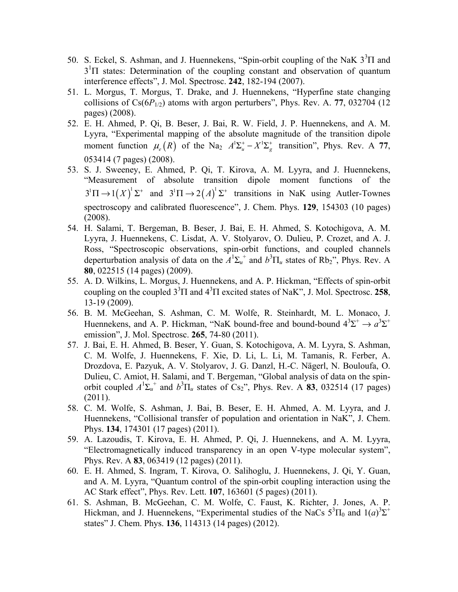- 50. S. Eckel, S. Ashman, and J. Huennekens, "Spin-orbit coupling of the NaK  $3^3\Pi$  and  $3<sup>1</sup>$ I states: Determination of the coupling constant and observation of quantum interference effects", J. Mol. Spectrosc. **242**, 182-194 (2007).
- 51. L. Morgus, T. Morgus, T. Drake, and J. Huennekens, "Hyperfine state changing collisions of  $Cs(6P_{1/2})$  atoms with argon perturbers", Phys. Rev. A. 77, 032704 (12) pages) (2008).
- 52. E. H. Ahmed, P. Qi, B. Beser, J. Bai, R. W. Field, J. P. Huennekens, and A. M. Lyyra, "Experimental mapping of the absolute magnitude of the transition dipole moment function  $\mu_e(R)$  of the Na<sub>2</sub>  $A^1\Sigma_u^+ - X^1\Sigma_g^+$  transition", Phys. Rev. A 77, 053414 (7 pages) (2008).
- 53. S. J. Sweeney, E. Ahmed, P. Qi, T. Kirova, A. M. Lyyra, and J. Huennekens, "Measurement of absolute transition dipole moment functions of the  $3^1\Pi \rightarrow 1(X)^1\Sigma^+$  and  $3^1\Pi \rightarrow 2(A)^1\Sigma^+$  transitions in NaK using Autler-Townes spectroscopy and calibrated fluorescence", J. Chem. Phys. **129**, 154303 (10 pages) (2008).
- 54. H. Salami, T. Bergeman, B. Beser, J. Bai, E. H. Ahmed, S. Kotochigova, A. M. Lyyra, J. Huennekens, C. Lisdat, A. V. Stolyarov, O. Dulieu, P. Crozet, and A. J. Ross, "Spectroscopic observations, spin-orbit functions, and coupled channels deperturbation analysis of data on the  $A^1\Sigma_u^+$  and  $b^3\Pi_u$  states of Rb<sub>2</sub>", Phys. Rev. A **80**, 022515 (14 pages) (2009).
- 55. A. D. Wilkins, L. Morgus, J. Huennekens, and A. P. Hickman, "Effects of spin-orbit coupling on the coupled  $3^3\Pi$  and  $4^3\Pi$  excited states of NaK", J. Mol. Spectrosc. 258, 13-19 (2009).
- 56. B. M. McGeehan, S. Ashman, C. M. Wolfe, R. Steinhardt, M. L. Monaco, J. Huennekens, and A. P. Hickman, "NaK bound-free and bound-bound  $4^3\Sigma^+ \rightarrow a^3\Sigma^+$ emission", J. Mol. Spectrosc. **265**, 74-80 (2011).
- 57. J. Bai, E. H. Ahmed, B. Beser, Y. Guan, S. Kotochigova, A. M. Lyyra, S. Ashman, C. M. Wolfe, J. Huennekens, F. Xie, D. Li, L. Li, M. Tamanis, R. Ferber, A. Drozdova, E. Pazyuk, A. V. Stolyarov, J. G. Danzl, H.-C. Nägerl, N. Bouloufa, O. Dulieu, C. Amiot, H. Salami, and T. Bergeman, "Global analysis of data on the spinorbit coupled  $A^1\Sigma_u^+$  and  $b^3\Pi_u$  states of Cs<sub>2</sub>", Phys. Rev. A **83**, 032514 (17 pages) (2011).
- 58. C. M. Wolfe, S. Ashman, J. Bai, B. Beser, E. H. Ahmed, A. M. Lyyra, and J. Huennekens, "Collisional transfer of population and orientation in NaK", J. Chem. Phys. **134**, 174301 (17 pages) (2011).
- 59. A. Lazoudis, T. Kirova, E. H. Ahmed, P. Qi, J. Huennekens, and A. M. Lyyra, "Electromagnetically induced transparency in an open V-type molecular system", Phys. Rev. A **83**, 063419 (12 pages) (2011).
- 60. E. H. Ahmed, S. Ingram, T. Kirova, O. Salihoglu, J. Huennekens, J. Qi, Y. Guan, and A. M. Lyyra, "Quantum control of the spin-orbit coupling interaction using the AC Stark effect", Phys. Rev. Lett. **107**, 163601 (5 pages) (2011).
- 61. S. Ashman, B. McGeehan, C. M. Wolfe, C. Faust, K. Richter, J. Jones, A. P. Hickman, and J. Huennekens, "Experimental studies of the NaCs  $5^3\Pi_0$  and  $1(a)^3\Sigma^+$ states" J. Chem. Phys. **136**, 114313 (14 pages) (2012).